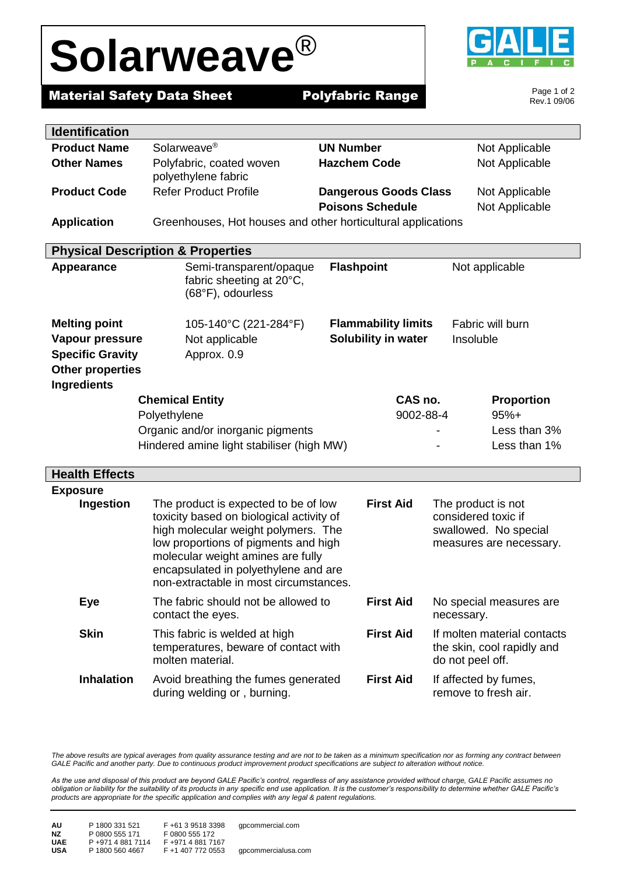## **Solarweave**®



**Material Safety Data Sheet Polyfabric Range** 

Page 1 of 2 Rev.1 09/06

| <b>Identification</b>                        |                                                                                                                                                                                                                                                                                                            |                              |                                                                                               |
|----------------------------------------------|------------------------------------------------------------------------------------------------------------------------------------------------------------------------------------------------------------------------------------------------------------------------------------------------------------|------------------------------|-----------------------------------------------------------------------------------------------|
| <b>Product Name</b>                          | Solarweave <sup>®</sup>                                                                                                                                                                                                                                                                                    | <b>UN Number</b>             | Not Applicable                                                                                |
| <b>Other Names</b>                           | Polyfabric, coated woven<br>polyethylene fabric                                                                                                                                                                                                                                                            | <b>Hazchem Code</b>          | Not Applicable                                                                                |
| <b>Product Code</b>                          | <b>Refer Product Profile</b>                                                                                                                                                                                                                                                                               | <b>Dangerous Goods Class</b> | Not Applicable                                                                                |
|                                              |                                                                                                                                                                                                                                                                                                            | <b>Poisons Schedule</b>      | Not Applicable                                                                                |
| <b>Application</b>                           | Greenhouses, Hot houses and other horticultural applications                                                                                                                                                                                                                                               |                              |                                                                                               |
| <b>Physical Description &amp; Properties</b> |                                                                                                                                                                                                                                                                                                            |                              |                                                                                               |
| <b>Appearance</b>                            | Semi-transparent/opaque<br>fabric sheeting at 20°C,<br>(68°F), odourless                                                                                                                                                                                                                                   | <b>Flashpoint</b>            | Not applicable                                                                                |
| <b>Melting point</b>                         | 105-140°C (221-284°F)                                                                                                                                                                                                                                                                                      | <b>Flammability limits</b>   | Fabric will burn                                                                              |
| Vapour pressure                              | Not applicable                                                                                                                                                                                                                                                                                             | Solubility in water          | Insoluble                                                                                     |
| <b>Specific Gravity</b>                      | Approx. 0.9                                                                                                                                                                                                                                                                                                |                              |                                                                                               |
| <b>Other properties</b>                      |                                                                                                                                                                                                                                                                                                            |                              |                                                                                               |
| <b>Ingredients</b>                           |                                                                                                                                                                                                                                                                                                            |                              |                                                                                               |
|                                              | <b>Chemical Entity</b>                                                                                                                                                                                                                                                                                     | CAS no.                      | <b>Proportion</b>                                                                             |
|                                              | Polyethylene                                                                                                                                                                                                                                                                                               | 9002-88-4                    | $95%+$                                                                                        |
|                                              | Organic and/or inorganic pigments                                                                                                                                                                                                                                                                          |                              | Less than 3%                                                                                  |
|                                              | Hindered amine light stabiliser (high MW)                                                                                                                                                                                                                                                                  |                              | Less than 1%                                                                                  |
| <b>Health Effects</b>                        |                                                                                                                                                                                                                                                                                                            |                              |                                                                                               |
| <b>Exposure</b>                              |                                                                                                                                                                                                                                                                                                            |                              |                                                                                               |
| Ingestion                                    | <b>First Aid</b><br>The product is expected to be of low<br>toxicity based on biological activity of<br>high molecular weight polymers. The<br>low proportions of pigments and high<br>molecular weight amines are fully<br>encapsulated in polyethylene and are<br>non-extractable in most circumstances. |                              | The product is not<br>considered toxic if<br>swallowed. No special<br>measures are necessary. |
| <b>Eye</b>                                   | The fabric should not be allowed to<br>contact the eyes.                                                                                                                                                                                                                                                   | <b>First Aid</b>             | No special measures are<br>necessary.                                                         |
| <b>Skin</b>                                  | This fabric is welded at high<br>temperatures, beware of contact with<br>molten material.                                                                                                                                                                                                                  | <b>First Aid</b>             | If molten material contacts<br>the skin, cool rapidly and<br>do not peel off.                 |
| <b>Inhalation</b>                            | Avoid breathing the fumes generated<br>during welding or, burning.                                                                                                                                                                                                                                         | <b>First Aid</b>             | If affected by fumes,<br>remove to fresh air.                                                 |

The above results are typical averages from quality assurance testing and are not to be taken as a minimum specification nor as forming any contract between *GALE Pacific and another party. Due to continuous product improvement product specifications are subject to alteration without notice.*

*As the use and disposal of this product are beyond GALE Pacific's control, regardless of any assistance provided without charge, GALE Pacific assumes no obligation or liability for the suitability of its products in any specific end use application. It is the customer's responsibility to determine whether GALE Pacific's products are appropriate for the specific application and complies with any legal & patent regulations.*